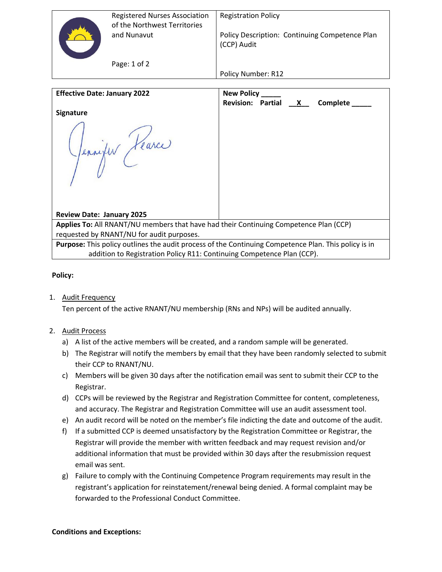| <b>Registered Nurses Association</b><br>of the Northwest Territories | <b>Registration Policy</b>                                    |
|----------------------------------------------------------------------|---------------------------------------------------------------|
| and Nunavut                                                          | Policy Description: Continuing Competence Plan<br>(CCP) Audit |
| Page: 1 of 2                                                         | Policy Number: R12                                            |

| <b>Effective Date: January 2022</b>                                                                  | New Policy                                      |  |
|------------------------------------------------------------------------------------------------------|-------------------------------------------------|--|
|                                                                                                      | Revision: Partial X<br>Complete <u>complete</u> |  |
| <b>Signature</b>                                                                                     |                                                 |  |
| Pennifer Hearce                                                                                      |                                                 |  |
| <b>Review Date: January 2025</b>                                                                     |                                                 |  |
| Applies To: All RNANT/NU members that have had their Continuing Competence Plan (CCP)                |                                                 |  |
| requested by RNANT/NU for audit purposes.                                                            |                                                 |  |
| Purpose: This policy outlines the audit process of the Continuing Competence Plan. This policy is in |                                                 |  |
| addition to Registration Policy R11: Continuing Competence Plan (CCP).                               |                                                 |  |

## **Policy:**

## 1. Audit Frequency

Ten percent of the active RNANT/NU membership (RNs and NPs) will be audited annually.

# 2. Audit Process

- a) A list of the active members will be created, and a random sample will be generated.
- b) The Registrar will notify the members by email that they have been randomly selected to submit their CCP to RNANT/NU.
- c) Members will be given 30 days after the notification email was sent to submit their CCP to the Registrar.
- d) CCPs will be reviewed by the Registrar and Registration Committee for content, completeness, and accuracy. The Registrar and Registration Committee will use an audit assessment tool.
- e) An audit record will be noted on the member's file indicting the date and outcome of the audit.
- f) If a submitted CCP is deemed unsatisfactory by the Registration Committee or Registrar, the Registrar will provide the member with written feedback and may request revision and/or additional information that must be provided within 30 days after the resubmission request email was sent.
- g) Failure to comply with the Continuing Competence Program requirements may result in the registrant's application for reinstatement/renewal being denied. A formal complaint may be forwarded to the Professional Conduct Committee.